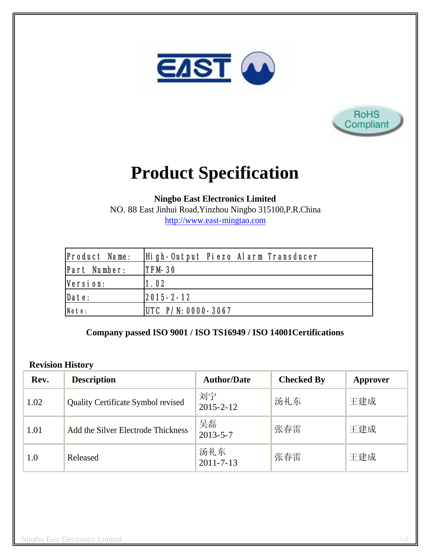



# **Product Specification**

**Ningbo East Electronics Limited**

NO. 88 East Jinhui Road,Yinzhou Ningbo 315100,P.R.China http://www.east-mingtao.com

| <b>Product Name:</b> | High-Output Piezo Alarm Transducer |  |
|----------------------|------------------------------------|--|
| Part Number:         | ITFM-30                            |  |
| Version:             | 1.02                               |  |
| Date:                | $ 2015 - 2 - 12 $                  |  |
| Note:                | $ UTC \ P/N: 0000 - 3067$          |  |

## **Company passed ISO 9001 / ISO TS16949 / ISO 14001Certifications**

#### **Revision History**

| Rev. | <b>Description</b>                 | <b>Author/Date</b>     | <b>Checked By</b> | Approver |
|------|------------------------------------|------------------------|-------------------|----------|
| 1.02 | Quality Certificate Symbol revised | 刘宁<br>$2015 - 2 - 12$  | 汤礼东               | 王建成      |
| 1.01 | Add the Silver Electrode Thickness | 吴磊<br>$2013 - 5 - 7$   | 张春雷               | 王建成      |
| 1.0  | Released                           | 汤礼东<br>$2011 - 7 - 13$ | 张春雷               | 王建成      |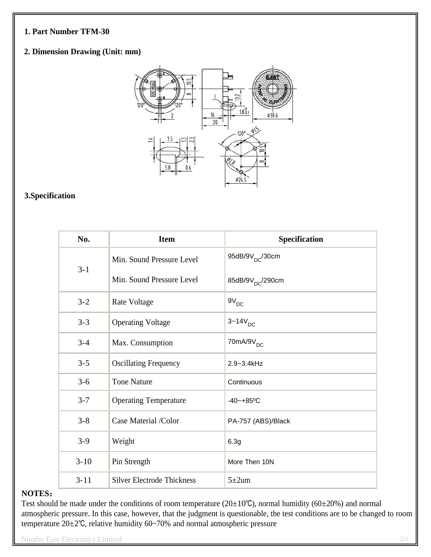#### **1. Part Number TFM-30**

### **2. Dimension Drawing (Unit: mm)**



## **3.Specification**

| No.      | <b>Item</b>                       | Specification                |
|----------|-----------------------------------|------------------------------|
| $3 - 1$  | Min. Sound Pressure Level         | 95dB/9V <sub>DC</sub> /30cm  |
|          | Min. Sound Pressure Level         | 85dB/9V <sub>DC</sub> /290cm |
| $3 - 2$  | Rate Voltage                      | $\mathsf{9V}_{\mathsf{DC}}$  |
| $3 - 3$  | <b>Operating Voltage</b>          | $3 - 14V_{DC}$               |
| $3 - 4$  | Max. Consumption                  | $70mA/9V_{DC}$               |
| $3 - 5$  | <b>Oscillating Frequency</b>      | 2.9~3.4kHz                   |
| $3 - 6$  | <b>Tone Nature</b>                | Continuous                   |
| $3 - 7$  | <b>Operating Temperature</b>      | $-40 - +85$ °C               |
| $3 - 8$  | Case Material /Color              | PA-757 (ABS)/Black           |
| $3-9$    | Weight                            | 6.3g                         |
| $3 - 10$ | Pin Strength                      | More Then 10N                |
| $3 - 11$ | <b>Silver Electrode Thickness</b> | $5 \pm 2$ um                 |

#### **NOTES**:

Test should be made under the conditions of room temperature ( $20\pm10^{\circ}$ C), normal humidity ( $60\pm20^{\circ}$ ) and normal atmospheric pressure. In this case, however, that the judgment is questionable, the test conditions are to be changed to room temperature 20±2℃, relative humidity 60~70% and normal atmospheric pressure